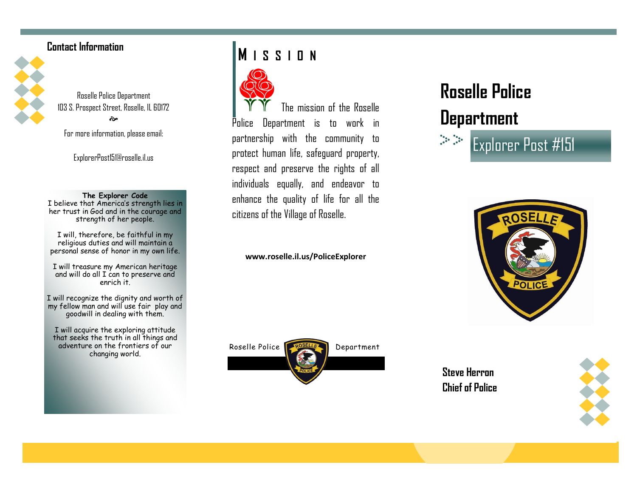## **Contact Information**



Roselle Police Department 103 S. Prospect Street, Roselle, IL 60172 ત્રે

For more information, please email:

ExplorerPost151@roselle.il.us

### **The Explorer Code**

I believe that America's strength lies in her trust in God and in the courage and strength of her people.

I will, therefore, be faithful in my religious duties and will maintain a personal sense of honor in my own life.

I will treasure my American heritage and will do all I can to preserve and enrich it.

I will recognize the dignity and worth of my fellow man and will use fair play and goodwill in dealing with them.

I will acquire the exploring attitude that seeks the truth in all things and adventure on the frontiers of our changing world.

# **M I S S I O N**



The mission of the Roselle Police Department is to work in partnership with the community to protect human life, safeguard property, respect and preserve the rights of all individuals equally, and endeavor to enhance the quality of life for all the citizens of the Village of Roselle.

### **[www.roselle.il.us/PoliceExplorer](http://www.roselle.il.us/PoliceExplorer)**



# **Roselle Police**

# **Department**





**Steve Herron Chief of Police**